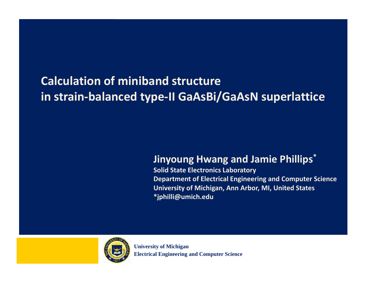### **Calculation of miniband structure in strain‐balanced type‐II GaAsBi/GaAsN superlattice**

### **Jinyoung Hwang and Jamie Phillips\* Phillips**

**Solid State Electronics Laboratory Department of Electrical Engineering and Computer Science University of Michigan, Ann Arbor, MI, United States \*j hilli@ i h d jphilli@umich.edu**



**University of Michigan Electrical Engineering and Computer Science**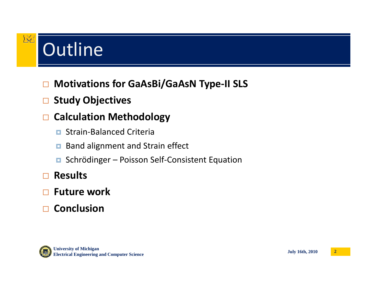# Outline

**IXI** 

### $\Box$ **Motivations for GaAsBi/GaAsN Type‐II SLS**

### $\Box$ **Study Objectives**

### $\Box$ **Calculation Methodology**

- o. Strain‐Balanced Criteria
- $\Box$ Band alignment and Strain effect
- Schrödinger Poisson Self-Consistent Equation

### $\Box$ **Results**

- $\Box$ **Future** work
- $\Box$ **Conclusion**

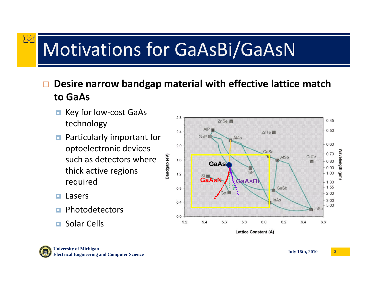## Motivations for GaAsBi/GaAsN

### $\Box$ **Desire** narrow bandgap material with effective lattice match **to GaAs**

- $\Box$  Key for low‐cost GaAs technology
- **<u>n</u>** Particularly important for optoelectronic devices such as detectors where thick active regions required
- $\Box$ Lasers

风

- Г. Photodetectors
- $\Box$ Solar Cells



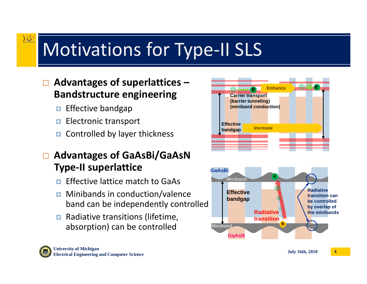# Motivations for Type‐II SLS

### $\Box$  **Advantages of superlattices – <sup>e</sup>Enhance Bandstructure engineering**

 $\Box$ Effective bandgap

**IXI** 

- п **Example 2** Electronic transport **Effective**
- $\Box$ Controlled by layer thickness

### $\Box$  **Advantages of GaAsBi/GaAsN g / Type‐II superlattice**

- n Effective lattice match to GaAs
- **Example 2 Minibands in conduction/valence Effective** band can be independently controlled
- **Radiative transitions (lifetime,** absorption) can be controlled



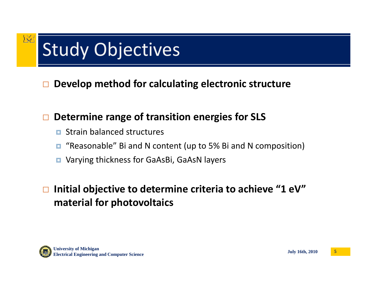# Study Objectives

I Y L

 $\Box$ **Develop method for calculating electronic structure**

### $\Box$ **Determine range of transition energies for SLS**

- D. Strain balanced structures
- о "Reasonable" Bi and N content (up to 5% Bi and N composition)
- **D** Varying thickness for GaAsBi, GaAsN layers

### $\Box$  **Initial objective to determine criteria to achieve "1 eV" material for photovoltaics**

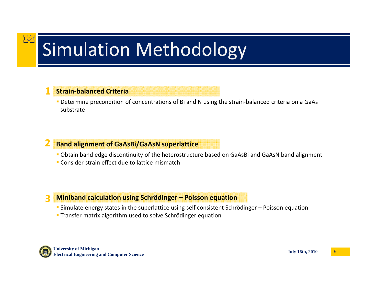# Simulation Methodology

#### **1Strain‐balanced Criteria**

**IXT** 

■ Determine precondition of concentrations of Bi and N using the strain-balanced criteria on a GaAs substrate

#### **2Band alignment of GaAsBi/GaAsN superlattice**

- Obtain band edge discontinuity of the heterostructure based on GaAsBi and GaAsN band alignment
- **Consider strain effect due to lattice mismatch**

#### **3**3 Miniband calculation using Schrödinger - Poisson equation

- Simulate energy states in the superlattice using self consistent Schrödinger Poisson equation
- **Transfer matrix algorithm used to solve Schrödinger equation**

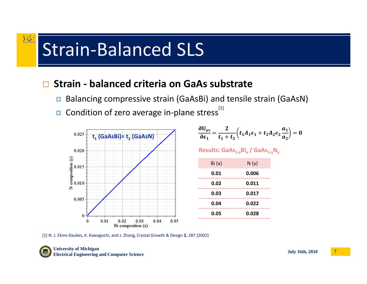## Strain‐Balanced SLS

#### $\Box$ **Strain ‐ balanced criteria on GaAs substrate**

- $\Box$ Balancing compressive strain (GaAsBi) and tensile strain (GaAsN)
- $\Box$ Condition of zero average in-plane stress<sup>[1]</sup>



$$
\frac{\partial U_{\text{av}}}{\partial \epsilon_1} = \frac{2}{t_1 + t_2} \left( t_1 A_1 \epsilon_1 + t_2 A_2 \epsilon_2 \frac{a_1}{a_2} \right) = 0
$$

**Results: GaAs1‐<sup>x</sup>Bix / GaAs1‐<sup>y</sup>Ny**

| Bi(x) | N(y)  |
|-------|-------|
| 0.01  | 0.006 |
| 0.02  | 0.011 |
| 0.03  | 0.017 |
| 0.04  | 0.022 |
| 0.05  | 0.028 |

[1] N. J. Ekins‐Daukes, K. Kawaguchi, and J. Zhang, Crystal Growth & Design **2**, 287 (2002)



**IXI** 

**July 16th, 2010 University of Michigan Electrical Engineering and Computer Science <sup>7</sup>**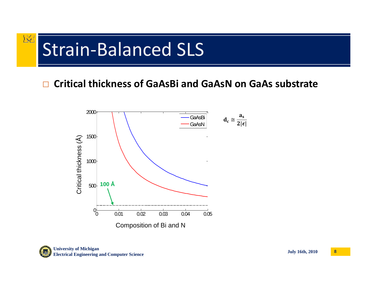### 区 Strain‐Balanced SLS

### $\Box$ **Critical thickness of GaAsBi and GaAsN on GaAs substrate**



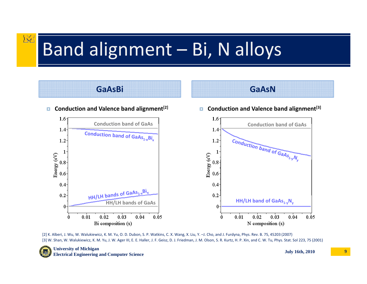## Band alignment – Bi, N alloys



[2] K. Alberi, J. Wu, W. Walukiewicz, K. M. Yu, O. D. Dubon, S. P. Watkins, C. X. Wang, X. Liu, Y. –J. Cho, and J. Furdyna, Phys. Rev. B. 75, 45203 (2007) [3] W. Shan, W. Walukiewicz, K. M. Yu, J. W. Ager III, E. E. Haller, J. F. Geisz, D. J. Friedman, J. M. Olson, S. R. Kurtz, H. P. Xin, and C. W. Tu, Phys. Stat. Sol 223, 75 (2001)



**IXI** 

**July 16th, 2010 <sup>9</sup> University of Michigan Electrical Engineering and Computer Science**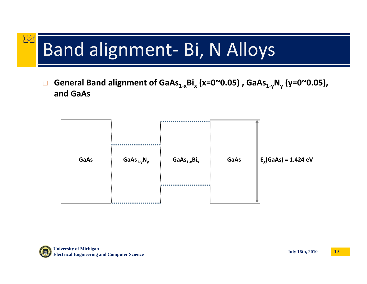### 风 Band alignment- Bi, N Alloys

 $\Box$  **General Band alignment of GaAs1‐<sup>x</sup>Bix (x=0~0.05) , GaAs1‐<sup>y</sup>Ny (y=0~0.05), and GaAs**

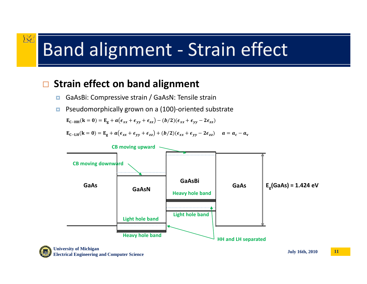## Band alignment ‐ Strain effect

#### $\Box$ **Strain effect on band alignment g**

**IXI** 

- П GaAsBi: Compressive strain / GaAsN: Tensile strain
- п Pseudomorphically grown on <sup>a</sup> (100)‐oriented substrate

 $\mathbf{E}_{\mathbf{C}-\mathbf{H}\mathbf{H}}(\mathbf{k}=\mathbf{0}) = \mathbf{E}_{\mathbf{g}} + a(\epsilon_{xx} + \epsilon_{yy} + \epsilon_{zz}) - (b/2)(\epsilon_{xx} + \epsilon_{yy} - 2\epsilon_{zz})$ 

 $\mathbf{E}_{\mathbf{C}-\mathbf{L}\mathbf{H}}(\mathbf{k}=\mathbf{0}) = \mathbf{E}_{\mathbf{g}} + a(\epsilon_{xx} + \epsilon_{yy} + \epsilon_{zz}) + (b/2)(\epsilon_{xx} + \epsilon_{yy} - 2\epsilon_{zz})$   $a = a_c - a_v$ 

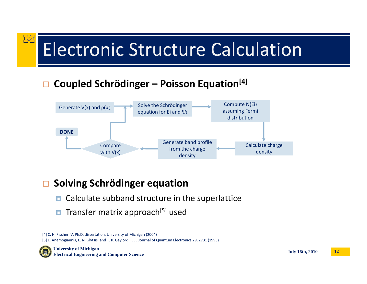# Electronic Structure Calculation

### $\Box$ **Coupled Schrödinger – Poisson Equation[4] <sup>p</sup> <sup>g</sup>**



### $\Box$ **Solving Schrödinger equation**

- $\Box$ Calculate subband structure in the superlattice
- $\Box$ Transfer matrix approach<sup>[5]</sup> used

[4] C. H. Fischer IV, Ph.D. dissertation. University of Michigan (2004) [5] E. Anemogiannis, E. N. Glytsis, and T. K. Gaylord, IEEE Journal of Quantum Electronics 29, 2731 (1993)



**IXE** 

**July 16th, 2010 University of Michigan Electrical Engineering and Computer Science <sup>12</sup>**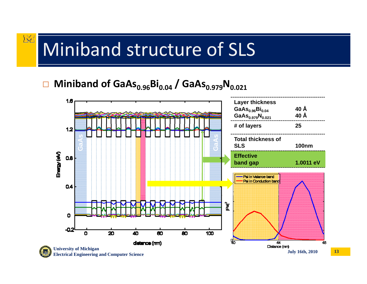## Miniband structure of SLS

区

### $\Box$ ■ Miniband of GaAs<sub>0.96</sub>Bi<sub>0.04</sub> / GaAs<sub>0.979</sub>N<sub>0.021</sub>

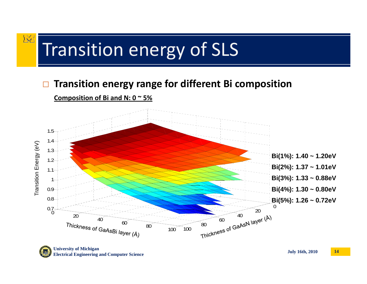### **IXI** Transition energy of SLS

### $\Box$ **□** Transition energy range for different Bi composition





**July 16th, 2010 University of Michigan Electrical Engineering and Computer Science <sup>14</sup>**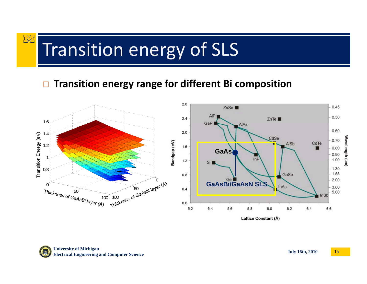# Transition energy of SLS

#### $\Box$ **□** Transition energy range for different Bi composition



Lattice Constant (Å)

**IXI**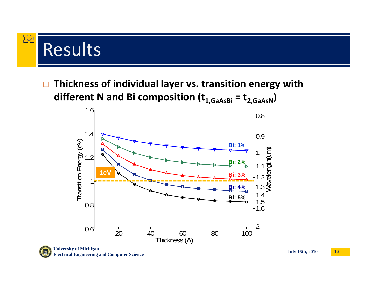# Results

区

 $\Box$  **Thickness of individual layer vs. transition energy with y gy different N and Bi composition (t1,GaAsBi <sup>=</sup> t2,GaAsN)**

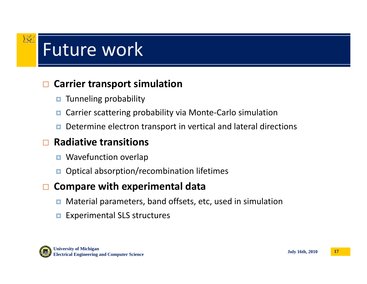# Future work

### $\Box$ **Carrier transport simulation**

- $\Box$ Tunneling probability
- $\Box$ Carrier scattering probability via Monte‐Carlo simulation
- $\Box$ Determine electron transport in vertical and lateral directions

### $\Box$ **Radiative transitions**

- **D** Wavefunction overlap
- $\Box$ Optical absorption/recombination lifetimes

### $\Box$ **Compare with experimental data**

- $\blacksquare$ Material parameters, band offsets, etc, used in simulation
- о Experimental SLS structures



**IXC**